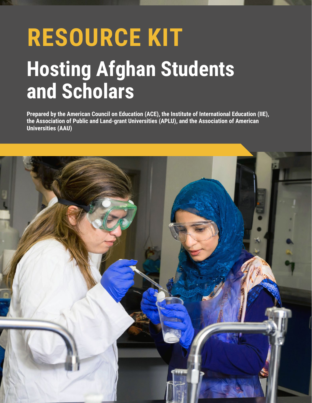# **RESOURCE KIT Hosting Afghan Students and Scholars**

**Prepared by the American Council on Education (ACE), the Institute of International Education (IIE), the Association of Public and Land-grant Universities (APLU), and the Association of American Universities (AAU)**

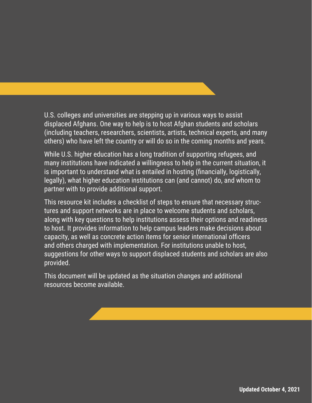U.S. colleges and universities are stepping up in various ways to assist displaced Afghans. One way to help is to host Afghan students and scholars (including teachers, researchers, scientists, artists, technical experts, and many others) who have left the country or will do so in the coming months and years.

While U.S. higher education has a long tradition of supporting refugees, and many institutions have indicated a willingness to help in the current situation, it is important to understand what is entailed in hosting (financially, logistically, legally), what higher education institutions can (and cannot) do, and whom to partner with to provide additional support.

This resource kit includes a checklist of steps to ensure that necessary structures and support networks are in place to welcome students and scholars, along with key questions to help institutions assess their options and readiness to host. It provides information to help campus leaders make decisions about capacity, as well as concrete action items for senior international officers and others charged with implementation. For institutions unable to host, suggestions for other ways to support displaced students and scholars are also provided.

This document will be updated as the situation changes and additional resources become available.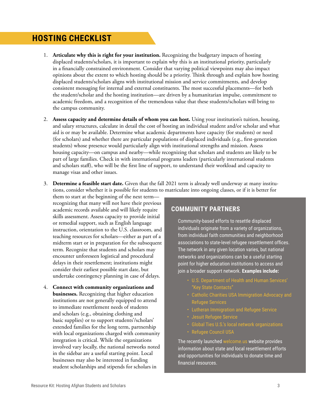## **HOSTING CHECKLIST**

- 1. **Articulate why this is right for your institution.** Recognizing the budgetary impacts of hosting displaced students/scholars, it is important to explain why this is an institutional priority, particularly in a financially constrained environment. Consider that varying political viewpoints may also impact opinions about the extent to which hosting should be a priority. Think through and explain how hosting displaced students/scholars aligns with institutional mission and service commitments, and develop consistent messaging for internal and external constituents. The most successful placements—for both the student/scholar and the hosting institution—are driven by a humanitarian impulse, commitment to academic freedom, and a recognition of the tremendous value that these students/scholars will bring to the campus community.
- 2. **Assess capacity and determine details of whom you can host.** Using your institution's tuition, housing, and salary structures, calculate in detail the cost of hosting an individual student and/or scholar and what aid is or may be available. Determine what academic departments have capacity (for students) or need (for scholars) and whether there are particular populations of displaced individuals (e.g., first-generation students) whose presence would particularly align with institutional strengths and mission. Assess housing capacity—on campus and nearby—while recognizing that scholars and students are likely to be part of large families. Check in with international programs leaders (particularly international students and scholars staff), who will be the first line of support, to understand their workload and capacity to manage visas and other issues.
- 3. **Determine a feasible start date.** Given that the fall 2021 term is already well underway at many institutions, consider whether it is possible for students to matriculate into ongoing classes, or if it is better for
	- them to start at the beginning of the next term recognizing that many will not have their previous academic records available and will likely require skills assessment. Assess capacity to provide initial or remedial support, such as English language instruction, orientation to the U.S. classroom, and teaching resources for scholars—either as part of a midterm start or in preparation for the subsequent term. Recognize that students and scholars may encounter unforeseen logistical and procedural delays in their resettlement; institutions might consider their earliest possible start date, but undertake contingency planning in case of delays.
- 4. **Connect with community organizations and businesses.** Recognizing that higher education institutions are not generally equipped to attend to immediate resettlement needs of students and scholars (e.g., obtaining clothing and basic supplies) or to support students'/scholars' extended families for the long term, partnership with local organizations charged with community integration is critical. While the organizations involved vary locally, the national networks noted in the sidebar are a useful starting point. Local businesses may also be interested in funding student scholarships and stipends for scholars in

#### **COMMUNITY PARTNERS**

Community-based efforts to resettle displaced individuals originate from a variety of organizations, from individual faith communities and neighborhood associations to state-level refugee resettlement offices. The network in any given location varies, but national networks and organizations can be a useful starting point for higher education institutions to access and join a broader support network. **Examples include:**

- [U.S. Department of Health and Human Services'](https://www.acf.hhs.gov/orr/grant-funding/key-state-contacts)  ["Key State Contacts"](https://www.acf.hhs.gov/orr/grant-funding/key-state-contacts)
- [Catholic Charities USA Immigration Advocacy and](https://www.catholiccharitiesusa.org/our-vision-and-ministry/immigration-refugee-services/)  [Refugee Services](https://www.catholiccharitiesusa.org/our-vision-and-ministry/immigration-refugee-services/)
- [Lutheran Immigration and Refugee Service](https://www.lirs.org/)
- [Jesuit Refugee Service](https://www.jrsusa.org/crisis-in-afghanistan/)
- [Global Ties U.S.'s local network organizations](https://www.globaltiesus.org/our-network/national-network/)
- [Refugee Council USA](https://rcusa.org/)

The recently launched [welcome.us](https://welcome.us/) website provides information about state and local resettlement efforts and opportunities for individuals to donate time and financial resources.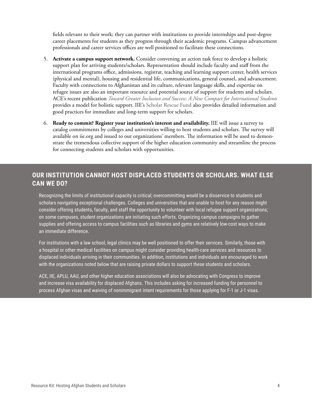fields relevant to their work; they can partner with institutions to provide internships and post-degree career placements for students as they progress through their academic programs. Campus advancement professionals and career services offices are well positioned to facilitate these connections.

- 5. **Activate a campus support network.** Consider convening an action task force to develop a holistic support plan for arriving students/scholars. Representation should include faculty and staff from the international programs office, admissions, registrar, teaching and learning support center, health services (physical and mental), housing and residential life, communications, general counsel, and advancement. Faculty with connections to Afghanistan and its culture, relevant language skills, and expertise on refugee issues are also an important resource and potential source of support for students and scholars. ACE's recent publication *[Toward Greater Inclusion and Success: A New Compact for International Students](https://www.acenet.edu/Documents/Intl-Students-Monograph.pdf)* provides a model for holistic support. IIE's [Scholar Rescue Fund](https://www.scholarrescuefund.org/) also provides detailed information and good practices for immediate and long-term support for scholars.
- 6. **Ready to commit? Register your institution's interest and availability.** IIE will issue a survey to catalog commitments by colleges and universities willing to host students and scholars. The survey will available on [iie.org](http://iie.org) and issued to our organizations' members. The information will be used to demonstrate the tremendous collective support of the higher education community and streamline the process for connecting students and scholars with opportunities.

#### **OUR INSTITUTION CANNOT HOST DISPLACED STUDENTS OR SCHOLARS. WHAT ELSE CAN WE DO?**

Recognizing the limits of institutional capacity is critical; overcommitting would be a disservice to students and scholars navigating exceptional challenges. Colleges and universities that are unable to host for any reason might consider offering students, faculty, and staff the opportunity to volunteer with local refugee support organizations; on some campuses, student organizations are initiating such efforts. Organizing campus campaigns to gather supplies and offering access to campus facilities such as libraries and gyms are relatively low-cost ways to make an immediate difference.

For institutions with a law school, legal clinics may be well positioned to offer their services. Similarly, those with a hospital or other medical facilities on campus might consider providing health-care services and resources to displaced individuals arriving in their communities. In addition, institutions and individuals are encouraged to work with the organizations noted below that are raising private dollars to support these students and scholars.

ACE, IIE, APLU, AAU, and other higher education associations will also be advocating with Congress to improve and increase visa availability for displaced Afghans. This includes asking for increased funding for personnel to process Afghan visas and waiving of nonimmigrant intent requirements for those applying for F-1 or J-1 visas.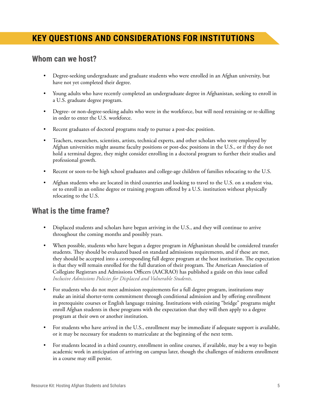# **KEY QUESTIONS AND CONSIDERATIONS FOR INSTITUTIONS**

#### **Whom can we host?**

- Degree-seeking undergraduate and graduate students who were enrolled in an Afghan university, but have not yet completed their degree.
- Young adults who have recently completed an undergraduate degree in Afghanistan, seeking to enroll in a U.S. graduate degree program.
- Degree- or non-degree-seeking adults who were in the workforce, but will need retraining or re-skilling in order to enter the U.S. workforce.
- Recent graduates of doctoral programs ready to pursue a post-doc position.
- Teachers, researchers, scientists, artists, technical experts, and other scholars who were employed by Afghan universities might assume faculty positions or post-doc positions in the U.S., or if they do not hold a terminal degree, they might consider enrolling in a doctoral program to further their studies and professional growth.
- Recent or soon-to-be high school graduates and college-age children of families relocating to the U.S.
- Afghan students who are located in third countries and looking to travel to the U.S. on a student visa, or to enroll in an online degree or training program offered by a U.S. institution without physically relocating to the U.S.

### **What is the time frame?**

- Displaced students and scholars have begun arriving in the U.S., and they will continue to arrive throughout the coming months and possibly years.
- When possible, students who have begun a degree program in Afghanistan should be considered transfer students. They should be evaluated based on standard admissions requirements, and if these are met, they should be accepted into a corresponding full degree program at the host institution. The expectation is that they will remain enrolled for the full duration of their program. The American Association of Collegiate Registrars and Admissions Officers (AACRAO) has published a guide on this issue called *[Inclusive Admissions Policies for Displaced and Vulnerable Students](https://www.aacrao.org/signature-initiatives/article-26-backpack-project/aacrao-pledge-for-education/inclusive-admissions-policies-for-displaced-and-vulnerable-students-report)*.
- For students who do not meet admission requirements for a full degree program, institutions may make an initial shorter-term commitment through conditional admission and by offering enrollment in prerequisite courses or English language training. Institutions with existing "bridge" programs might enroll Afghan students in these programs with the expectation that they will then apply to a degree program at their own or another institution.
- For students who have arrived in the U.S., enrollment may be immediate if adequate support is available, or it may be necessary for students to matriculate at the beginning of the next term.
- For students located in a third country, enrollment in online courses, if available, may be a way to begin academic work in anticipation of arriving on campus later, though the challenges of midterm enrollment in a course may still persist.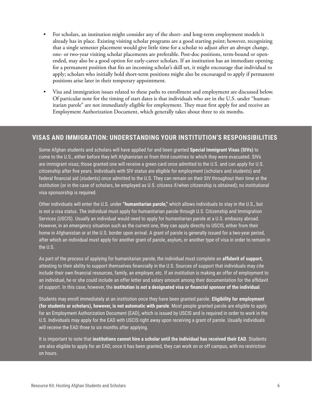- For scholars, an institution might consider any of the short- and long-term employment models it already has in place. Existing visiting scholar programs are a good starting point; however, recognizing that a single semester placement would give little time for a scholar to adjust after an abrupt change, one- or two-year visiting scholar placements are preferable. Post-doc positions, term-bound or openended, may also be a good option for early-career scholars. If an institution has an immediate opening for a permanent position that fits an incoming scholar's skill set, it might encourage that individual to apply; scholars who initially hold short-term positions might also be encouraged to apply if permanent positions arise later in their temporary appointment.
- Visa and immigration issues related to these paths to enrollment and employment are discussed below. Of particular note for the timing of start dates is that individuals who are in the U.S. under "humanitarian parole" are not immediately eligible for employment. They must first apply for and receive an Employment Authorization Document, which generally takes about three to six months.

#### **VISAS AND IMMIGRATION: UNDERSTANDING YOUR INSTITUTION'S RESPONSIBILITIES**

Some Afghan students and scholars will have applied for and been granted **Special Immigrant Visas (SIVs)** to come to the U.S., either before they left Afghanistan or from third countries to which they were evacuated. SIVs are immigrant visas; those granted one will receive a green card once admitted to the U.S. and can apply for U.S. citizenship after five years. Individuals with SIV status are eligible for employment (scholars and students) and federal financial aid (students) once admitted to the U.S. They can remain on their SIV throughout their time at the institution (or in the case of scholars, be employed as U.S. citizens if/when citizenship is obtained); no institutional visa sponsorship is required.

Other individuals will enter the U.S. under **"humanitarian parole,"** which allows individuals to stay in the U.S., but is not a visa status. The individual must apply for humanitarian parole through U.S. Citizenship and Immigration Services (USCIS). Usually an individual would need to apply for humanitarian parole at a U.S. embassy abroad. However, in an emergency situation such as the current one, they can apply directly to USCIS, either from their home in Afghanistan or at the U.S. border upon arrival. A grant of parole is generally issued for a two-year period, after which an individual must apply for another grant of parole, asylum, or another type of visa in order to remain in the U.S.

As part of the process of applying for humanitarian parole, the individual must complete an **affidavit of support**, attesting to their ability to support themselves financially in the U.S. Sources of support that individuals may cite include their own financial resources, family, an employer, etc. If an institution is making an offer of employment to an individual, he or she could include an offer letter and salary amount among their documentation for the affidavit of support. In this case, however, the **institution is** *not* **a designated visa or financial sponsor of the individual**.

Students may enroll immediately at an institution once they have been granted parole. **Eligibility for employment (for students or scholars), however, is not automatic with parole**. Most people granted parole are eligible to apply for an Employment Authorization Document (EAD), which is issued by USCIS and is required in order to work in the U.S. Individuals may apply for the EAD with USCIS right away upon receiving a grant of parole. Usually individuals will receive the EAD three to six months after applying.

It is important to note that **institutions cannot hire a scholar until the individual has received their EAD**. Students are also eligible to apply for an EAD; once it has been granted, they can work on or off campus, with no restriction on hours.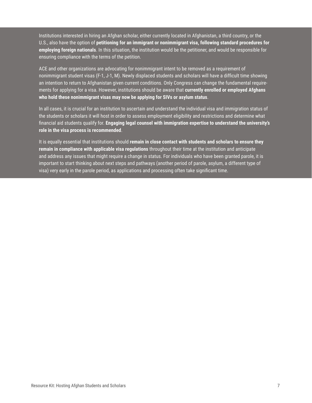Institutions interested in hiring an Afghan scholar, either currently located in Afghanistan, a third country, or the U.S., also have the option of **petitioning for an immigrant or nonimmigrant visa, following standard procedures for employing foreign nationals**. In this situation, the institution would be the petitioner, and would be responsible for ensuring compliance with the terms of the petition.

ACE and other organizations are advocating for nonimmigrant intent to be removed as a requirement of nonimmigrant student visas (F-1, J-1, M). Newly displaced students and scholars will have a difficult time showing an intention to return to Afghanistan given current conditions. Only Congress can change the fundamental requirements for applying for a visa. However, institutions should be aware that **currently enrolled or employed Afghans who hold these nonimmigrant visas may now be applying for SIVs or asylum status**.

In all cases, it is crucial for an institution to ascertain and understand the individual visa and immigration status of the students or scholars it will host in order to assess employment eligibility and restrictions and determine what financial aid students qualify for. **Engaging legal counsel with immigration expertise to understand the university's role in the visa process is recommended**.

It is equally essential that institutions should **remain in close contact with students and scholars to ensure they remain in compliance with applicable visa regulations** throughout their time at the institution and anticipate and address any issues that might require a change in status. For individuals who have been granted parole, it is important to start thinking about next steps and pathways (another period of parole, asylum, a different type of visa) very early in the parole period, as applications and processing often take significant time.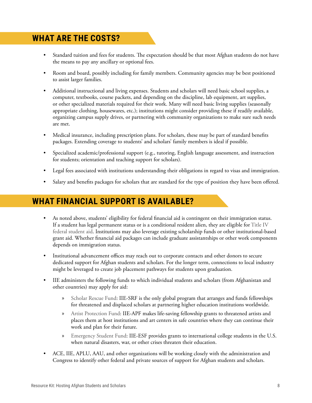## **WHAT ARE THE COSTS?**

- Standard tuition and fees for students. The expectation should be that most Afghan students do not have the means to pay any ancillary or optional fees.
- Room and board, possibly including for family members. Community agencies may be best positioned to assist larger families.
- Additional instructional and living expenses. Students and scholars will need basic school supplies, a computer, textbooks, course packets, and depending on the discipline, lab equipment, art supplies, or other specialized materials required for their work. Many will need basic living supplies (seasonally appropriate clothing, housewares, etc.); institutions might consider providing these if readily available, organizing campus supply drives, or partnering with community organizations to make sure such needs are met.
- Medical insurance, including prescription plans. For scholars, these may be part of standard benefits packages. Extending coverage to students' and scholars' family members is ideal if possible.
- Specialized academic/professional support (e.g., tutoring, English language assessment, and instruction for students; orientation and teaching support for scholars).
- Legal fees associated with institutions understanding their obligations in regard to visas and immigration.
- Salary and benefits packages for scholars that are standard for the type of position they have been offered.

## **WHAT FINANCIAL SUPPORT IS AVAILABLE?**

- As noted above, students' eligibility for federal financial aid is contingent on their immigration status. If a student has legal permanent status or is a conditional resident alien, they are eligible for [Title IV](https://fsapartners.ed.gov/sites/default/files/attachments/2019-08/1920FSAHbkVol1Ch2.pdf)  [federal student aid.](https://fsapartners.ed.gov/sites/default/files/attachments/2019-08/1920FSAHbkVol1Ch2.pdf) Institutions may also leverage existing scholarship funds or other institutional-based grant aid. Whether financial aid packages can include graduate assistantships or other work components depends on immigration status.
- Institutional advancement offices may reach out to corporate contacts and other donors to secure dedicated support for Afghan students and scholars. For the longer term, connections to local industry might be leveraged to create job placement pathways for students upon graduation.
- IIE administers the following funds to which individual students and scholars (from Afghanistan and other countries) may apply for aid:
	- » [Scholar Rescue Fund:](https://www.scholarrescuefund.org/) IIE-SRF is the only global program that arranges and funds fellowships for threatened and displaced scholars at partnering higher education institutions worldwide.
	- » [Artist Protection Fund](https://www.iie.org/programs/artist-protection-fund): IIE-APF makes life-saving fellowship grants to threatened artists and places them at host institutions and art centers in safe countries where they can continue their work and plan for their future.
	- » [Emergency Student Fund](https://www.iie.org/Programs/Emergency-Student-Fund): IIE-ESF provides grants to international college students in the U.S. when natural disasters, war, or other crises threaten their education.
- ACE, IIE, APLU, AAU, and other organizations will be working closely with the administration and Congress to identify other federal and private sources of support for Afghan students and scholars.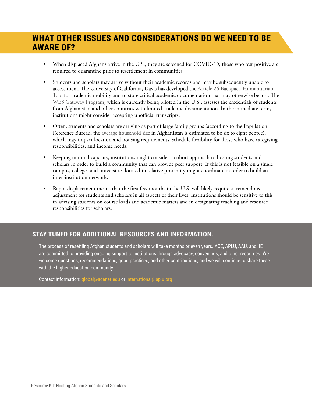## **WHAT OTHER ISSUES AND CONSIDERATIONS DO WE NEED TO BE AWARE OF?**

- When displaced Afghans arrive in the U.S., they are screened for COVID-19; those who test positive are required to quarantine prior to resettlement in communities.
- Students and scholars may arrive without their academic records and may be subsequently unable to access them. The University of California, Davis has developed the [Article 26 Backpack Humanitarian](https://globalaffairs.ucdavis.edu/news/article-26-backpack-new-features)  [Tool](https://globalaffairs.ucdavis.edu/news/article-26-backpack-new-features) for academic mobility and to store critical academic documentation that may otherwise be lost. The [WES Gateway Program,](https://www.wes.org/partners/global-talent-bridge/wes-gateway-overview/) which is currently being piloted in the U.S., assesses the credentials of students from Afghanistan and other countries with limited academic documentation. In the immediate term, institutions might consider accepting unofficial transcripts.
- Often, students and scholars are arriving as part of large family groups (according to the Population Reference Bureau, the [average household size](https://www.prb.org/international/indicator/hh-size-av/map/country/) in Afghanistan is estimated to be six to eight people), which may impact location and housing requirements, schedule flexibility for those who have caregiving responsibilities, and income needs.
- Keeping in mind capacity, institutions might consider a cohort approach to hosting students and scholars in order to build a community that can provide peer support. If this is not feasible on a single campus, colleges and universities located in relative proximity might coordinate in order to build an inter-institution network.
- Rapid displacement means that the first few months in the U.S. will likely require a tremendous adjustment for students and scholars in all aspects of their lives. Institutions should be sensitive to this in advising students on course loads and academic matters and in designating teaching and resource responsibilities for scholars.

#### **STAY TUNED FOR ADDITIONAL RESOURCES AND INFORMATION.**

The process of resettling Afghan students and scholars will take months or even years. ACE, APLU, AAU, and IIE are committed to providing ongoing support to institutions through advocacy, convenings, and other resources. We welcome questions, recommendations, good practices, and other contributions, and we will continue to share these with the higher education community.

Contact information: [global@acenet.edu](mailto:Global@acenet.edu) or [international@aplu.org](mailto:international@aplu.org)